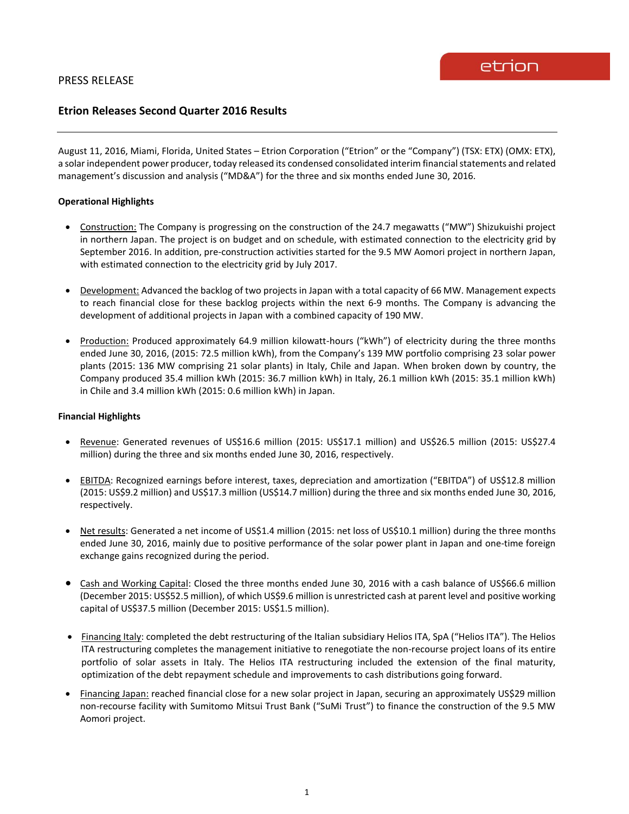# **Etrion Releases Second Quarter 2016 Results**

August 11, 2016, Miami, Florida, United States – Etrion Corporation ("Etrion" or the "Company") (TSX: ETX) (OMX: ETX), a solar independent power producer, today released its condensed consolidated interim financial statements and related management's discussion and analysis ("MD&A") for the three and six months ended June 30, 2016.

# **Operational Highlights**

- Construction: The Company is progressing on the construction of the 24.7 megawatts ("MW") Shizukuishi project in northern Japan. The project is on budget and on schedule, with estimated connection to the electricity grid by September 2016. In addition, pre-construction activities started for the 9.5 MW Aomori project in northern Japan, with estimated connection to the electricity grid by July 2017.
- Development: Advanced the backlog of two projects in Japan with a total capacity of 66 MW. Management expects to reach financial close for these backlog projects within the next 6-9 months. The Company is advancing the development of additional projects in Japan with a combined capacity of 190 MW.
- Production: Produced approximately 64.9 million kilowatt-hours ("kWh") of electricity during the three months ended June 30, 2016, (2015: 72.5 million kWh), from the Company's 139 MW portfolio comprising 23 solar power plants (2015: 136 MW comprising 21 solar plants) in Italy, Chile and Japan. When broken down by country, the Company produced 35.4 million kWh (2015: 36.7 million kWh) in Italy, 26.1 million kWh (2015: 35.1 million kWh) in Chile and 3.4 million kWh (2015: 0.6 million kWh) in Japan.

### **Financial Highlights**

- Revenue: Generated revenues of US\$16.6 million (2015: US\$17.1 million) and US\$26.5 million (2015: US\$27.4 million) during the three and six months ended June 30, 2016, respectively.
- EBITDA: Recognized earnings before interest, taxes, depreciation and amortization ("EBITDA") of US\$12.8 million (2015: US\$9.2 million) and US\$17.3 million (US\$14.7 million) during the three and six months ended June 30, 2016, respectively.
- Net results: Generated a net income of US\$1.4 million (2015: net loss of US\$10.1 million) during the three months ended June 30, 2016, mainly due to positive performance of the solar power plant in Japan and one-time foreign exchange gains recognized during the period.
- Cash and Working Capital: Closed the three months ended June 30, 2016 with a cash balance of US\$66.6 million (December 2015: US\$52.5 million), of which US\$9.6 million is unrestricted cash at parent level and positive working capital of US\$37.5 million (December 2015: US\$1.5 million).
- Financing Italy: completed the debt restructuring of the Italian subsidiary Helios ITA, SpA ("Helios ITA"). The Helios ITA restructuring completes the management initiative to renegotiate the non-recourse project loans of its entire portfolio of solar assets in Italy. The Helios ITA restructuring included the extension of the final maturity, optimization of the debt repayment schedule and improvements to cash distributions going forward.
- Financing Japan: reached financial close for a new solar project in Japan, securing an approximately US\$29 million non-recourse facility with Sumitomo Mitsui Trust Bank ("SuMi Trust") to finance the construction of the 9.5 MW Aomori project.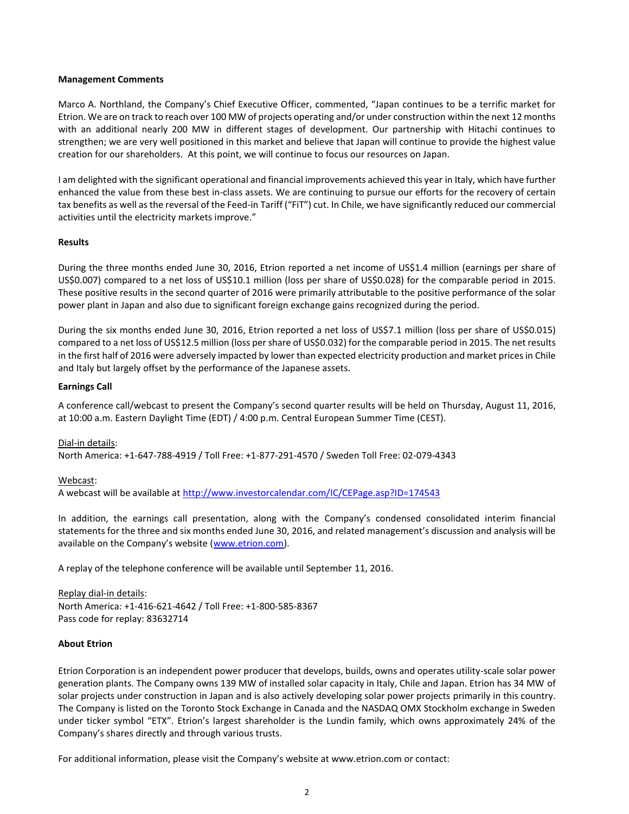### **Management Comments**

Marco A. Northland, the Company's Chief Executive Officer, commented, "Japan continues to be a terrific market for Etrion. We are on track to reach over 100 MW of projects operating and/or under construction within the next 12 months with an additional nearly 200 MW in different stages of development. Our partnership with Hitachi continues to strengthen; we are very well positioned in this market and believe that Japan will continue to provide the highest value creation for our shareholders. At this point, we will continue to focus our resources on Japan.

I am delighted with the significant operational and financial improvements achieved this year in Italy, which have further enhanced the value from these best in-class assets. We are continuing to pursue our efforts for the recovery of certain tax benefits as well as the reversal of the Feed-in Tariff ("FiT") cut. In Chile, we have significantly reduced our commercial activities until the electricity markets improve."

## **Results**

During the three months ended June 30, 2016, Etrion reported a net income of US\$1.4 million (earnings per share of US\$0.007) compared to a net loss of US\$10.1 million (loss per share of US\$0.028) for the comparable period in 2015. These positive results in the second quarter of 2016 were primarily attributable to the positive performance of the solar power plant in Japan and also due to significant foreign exchange gains recognized during the period.

During the six months ended June 30, 2016, Etrion reported a net loss of US\$7.1 million (loss per share of US\$0.015) compared to a net loss of US\$12.5 million (loss per share of US\$0.032) for the comparable period in 2015. The net results in the first half of 2016 were adversely impacted by lower than expected electricity production and market prices in Chile and Italy but largely offset by the performance of the Japanese assets.

## **Earnings Call**

A conference call/webcast to present the Company's second quarter results will be held on Thursday, August 11, 2016, at 10:00 a.m. Eastern Daylight Time (EDT) / 4:00 p.m. Central European Summer Time (CEST).

Dial-in details:

North America: +1-647-788-4919 / Toll Free: +1-877-291-4570 / Sweden Toll Free: 02-079-4343

### Webcast:

A webcast will be available at<http://www.investorcalendar.com/IC/CEPage.asp?ID=174543>

In addition, the earnings call presentation, along with the Company's condensed consolidated interim financial statements for the three and six months ended June 30, 2016, and related management's discussion and analysis will be available on the Company's website ([www.etrion.com\)](http://www.etrion.com/).

A replay of the telephone conference will be available until September 11, 2016.

Replay dial-in details: North America: +1-416-621-4642 / Toll Free: +1-800-585-8367 Pass code for replay: 83632714

### **About Etrion**

Etrion Corporation is an independent power producer that develops, builds, owns and operates utility-scale solar power generation plants. The Company owns 139 MW of installed solar capacity in Italy, Chile and Japan. Etrion has 34 MW of solar projects under construction in Japan and is also actively developing solar power projects primarily in this country. The Company is listed on the Toronto Stock Exchange in Canada and the NASDAQ OMX Stockholm exchange in Sweden under ticker symbol "ETX". Etrion's largest shareholder is the Lundin family, which owns approximately 24% of the Company's shares directly and through various trusts.

For additional information, please visit the Company's website at www.etrion.com or contact: